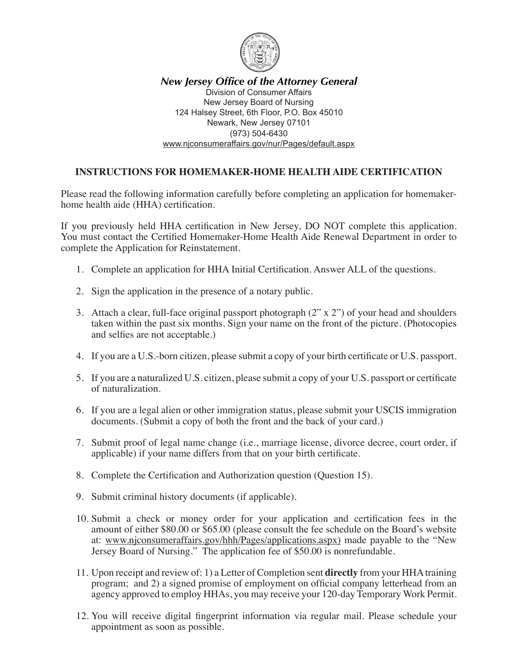

*New Jersey Office of the Attorney General* Division of Consumer Affairs New Jersey Board of Nursing 124 Halsey Street, 6th Floor, P.O. Box 45010 Newark, New Jersey 07101 (973) 504-6430 www.njconsumeraffairs.gov/nur/Pages/default.aspx

## **INSTRUCTIONS FOR HOMEMAKER-HOME HEALTH AIDE CERTIFICATION**

Please read the following information carefully before completing an application for homemakerhome health aide (HHA) certification.

If you previously held HHA certification in New Jersey, DO NOT complete this application. You must contact the Certified Homemaker-Home Health Aide Renewal Department in order to complete the Application for Reinstatement.

- 1. Complete an application for HHA Initial Certification. Answer ALL of the questions.
- 2. Sign the application in the presence of a notary public.
- 3. Attach a clear, full-face original passport photograph (2" x 2") of your head and shoulders taken within the past six months. Sign your name on the front of the picture. (Photocopies and selfies are not acceptable.)
- 4. If you are a U.S.-born citizen, please submit a copy of your birth certificate or U.S. passport.
- 5. If you are a naturalized U.S. citizen, please submit a copy of your U.S. passport or certificate of naturalization.
- 6. If you are a legal alien or other immigration status, please submit your USCIS immigration documents. (Submit a copy of both the front and the back of your card.)
- 7. Submit proof of legal name change (i.e., marriage license, divorce decree, court order, if applicable) if your name differs from that on your birth certificate.
- 8. Complete the Certification and Authorization question (Question 15).
- 9. Submit criminal history documents (if applicable).
- 10. Submit a check or money order for your application and certification fees in the amount of either \$80.00 or \$65.00 (please consult the fee schedule on the Board's website at: www.njconsumeraffairs.gov/hhh/Pages/applications.aspx) made payable to the "New Jersey Board of Nursing." The application fee of \$50.00 is nonrefundable.
- 11. Upon receipt and review of: 1) a Letter of Completion sent **directly** from your HHA training program; and 2) a signed promise of employment on official company letterhead from an agency approved to employ HHAs, you may receive your 120-day Temporary Work Permit.
- 12. You will receive digital fingerprint information via regular mail. Please schedule your appointment as soon as possible.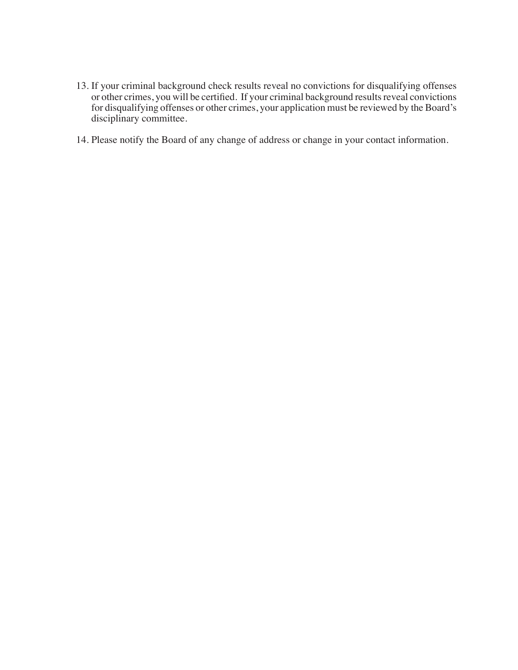- 13. If your criminal background check results reveal no convictions for disqualifying offenses or other crimes, you will be certified. If your criminal background results reveal convictions for disqualifying offenses or other crimes, your application must be reviewed by the Board's disciplinary committee.
- 14. Please notify the Board of any change of address or change in your contact information.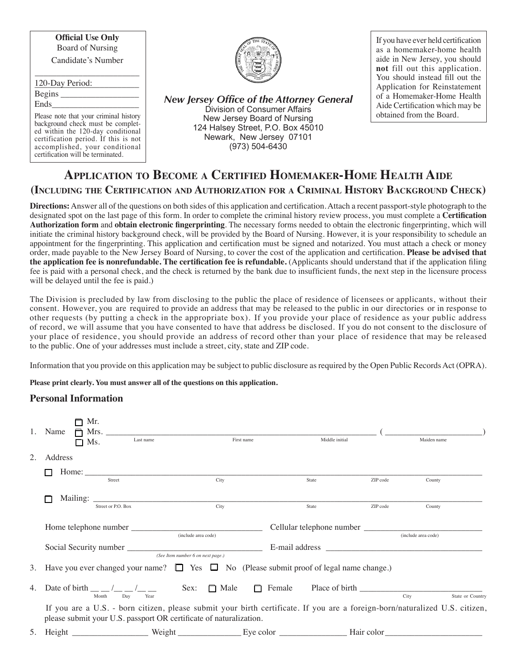**Official Use Only** Board of Nursing Candidate's Number

| 120-Day Period: |                                                                        |
|-----------------|------------------------------------------------------------------------|
| Begins          |                                                                        |
| Ends            | <b>New Jersey Office of the Attorne</b><br>Division of Consumer Affair |

Please note that your criminal history background check must be completed within the 120-day conditional certification period. If this is not accomplished, your conditional certification will be terminated.



*New Jersey Office of the Attorney General* Division of Consumer Affairs New Jersey Board of Nursing 124 Halsey Street, P.O. Box 45010 Newark, New Jersey 07101 (973) 504-6430

If you have ever held certification as a homemaker-home health aide in New Jersey, you should **not** fill out this application. You should instead fill out the Application for Reinstatement of a Homemaker-Home Health Aide Certification which may be obtained from the Board.

# **Application to Become a Certified Homemaker-Home Health Aide (Including the Certification and Authorization for a Criminal History Background Check)**

**Directions:**Answer all of the questions on both sides of this application and certification.Attach a recent passport-style photograph to the designated spot on the last page of this form. In order to complete the criminal history review process, you must complete a **Certification Authorization form** and **obtain electronic fingerprinting**. The necessary forms needed to obtain the electronic fingerprinting, which will initiate the criminal history background check, will be provided by the Board of Nursing. However, it is your responsibility to schedule an appointment for the fingerprinting. This application and certification must be signed and notarized. You must attach a check or money order, made payable to the New Jersey Board of Nursing, to cover the cost of the application and certification. **Please be advised that the application fee is nonrefundable. The certification fee is refundable.** (Applicants should understand that if the application filing fee is paid with a personal check, and the check is returned by the bank due to insufficient funds, the next step in the licensure process will be delayed until the fee is paid.)

The Division is precluded by law from disclosing to the public the place of residence of licensees or applicants, without their consent. However, you are required to provide an address that may be released to the public in our directories or in response to other requests (by putting a check in the appropriate box). If you provide your place of residence as your public address of record, we will assume that you have consented to have that address be disclosed. If you do not consent to the disclosure of your place of residence, you should provide an address of record other than your place of residence that may be released to the public. One of your addresses must include a street, city, state and ZIP code.

Information that you provide on this application may be subject to public disclosure as required by the Open Public RecordsAct (OPRA).

**Please print clearly. You must answer all of the questions on this application.**

## **Personal Information**

|    | Mr.<br>1. Name<br>n<br>$\Box$ Ms. | Last name          | First name                                                         |                                                                                                                                   | Middle initial | Maiden name                                                                                                                                                                                                                    |
|----|-----------------------------------|--------------------|--------------------------------------------------------------------|-----------------------------------------------------------------------------------------------------------------------------------|----------------|--------------------------------------------------------------------------------------------------------------------------------------------------------------------------------------------------------------------------------|
|    | Address                           |                    |                                                                    |                                                                                                                                   |                |                                                                                                                                                                                                                                |
|    |                                   | Street             | City                                                               | State                                                                                                                             | ZIP code       | County                                                                                                                                                                                                                         |
|    |                                   | Street or P.O. Box | City                                                               | State                                                                                                                             | ZIP code       | County                                                                                                                                                                                                                         |
|    |                                   |                    | (include area code)                                                |                                                                                                                                   |                | (include area code)                                                                                                                                                                                                            |
|    |                                   |                    | (See Item number 6 on next page.)                                  |                                                                                                                                   |                | E-mail address and the set of the set of the set of the set of the set of the set of the set of the set of the set of the set of the set of the set of the set of the set of the set of the set of the set of the set of the s |
|    |                                   |                    |                                                                    | 3. Have you ever changed your name? $\Box$ Yes $\Box$ No (Please submit proof of legal name change.)                              |                |                                                                                                                                                                                                                                |
| 4. | Month                             | Day<br>Year        |                                                                    | Date of birth $\frac{1}{\sqrt{2}}$ $\frac{1}{\sqrt{2}}$ $\frac{1}{\sqrt{2}}$ Sex: $\Box$ Male $\Box$ Female Place of birth $\Box$ |                | City<br>State or Country                                                                                                                                                                                                       |
|    |                                   |                    | please submit your U.S. passport OR certificate of naturalization. |                                                                                                                                   |                | If you are a U.S. - born citizen, please submit your birth certificate. If you are a foreign-born/naturalized U.S. citizen,                                                                                                    |
| 5. |                                   |                    |                                                                    |                                                                                                                                   |                |                                                                                                                                                                                                                                |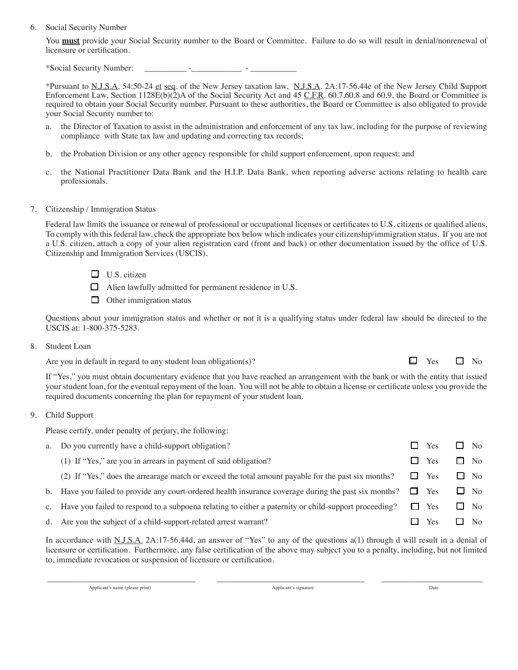#### 6. Social Security Number

You **must** provide your Social Security number to the Board or Committee. Failure to do so will result in denial/nonrenewal of licensure or certification.

\*Social Security Number: \_\_\_\_\_\_\_\_\_\_ -\_\_\_\_\_\_\_\_\_\_\_\_ - \_\_\_\_\_\_\_\_\_\_\_

\*Pursuant to N.J.S.A. 54:50-24 et seq. of the New Jersey taxation law, N.J.S.A. 2A:17-56.44e of the New Jersey Child Support Enforcement Law, Section 1128E(b)(2)A of the Social Security Act and 45 C.F.R. 60.7,60.8 and 60.9, the Board or Committee is required to obtain your Social Security number. Pursuant to these authorities, the Board or Committee is also obligated to provide your Social Security number to:

- a. the Director of Taxation to assist in the administration and enforcement of any tax law, including for the purpose of reviewing compliance with State tax law and updating and correcting tax records;
- b. the Probation Division or any other agency responsible for child support enforcement, upon request; and
- c. the National Practitioner Data Bank and the H.I.P. Data Bank, when reporting adverse actions relating to health care professionals.

#### 7. Citizenship / Immigration Status

Federal law limits the issuance or renewal of professional or occupational licenses or certificates to U.S. citizens or qualified aliens. To comply with this federal law, check the appropriate box below which indicates your citizenship/immigration status. If you are not a U.S. citizen, attach a copy of your alien registration card (front and back) or other documentation issued by the office of U.S. Citizenship and Immigration Services (USCIS).

- $\Box$  U.S. citizen
- $\Box$  Alien lawfully admitted for permanent residence in U.S.
- $\Box$  Other immigration status

Questions about your immigration status and whether or not it is a qualifying status under federal law should be directed to the USCIS at: 1-800-375-5283.

#### 8. Student Loan

Are you in default in regard to any student loan obligation(s)?  $\Box$  Yes  $\Box$  No

If "Yes," you must obtain documentary evidence that you have reached an arrangement with the bank or with the entity that issued your student loan, for the eventual repayment of the loan. You will not be able to obtain a license or certificate unless you provide the required documents concerning the plan for repayment of your student loan.

#### 9. Child Support

Please certify, under penalty of perjury, the following:

| a. Do you currently have a child-support obligation?                                                                | Yes        | $\Box$ No      |
|---------------------------------------------------------------------------------------------------------------------|------------|----------------|
| (1) If "Yes," are you in arrears in payment of said obligation?                                                     | $\Box$ Yes | N <sub>0</sub> |
| (2) If "Yes," does the arrearage match or exceed the total amount payable for the past six months? $\square$ Yes    |            | $\Box$ No      |
| b. Have you failed to provide any court-ordered health insurance coverage during the past six months? $\square$ Yes |            | $\Box$ No      |
| c. Have you failed to respond to a subpoena relating to either a paternity or child-support proceeding?             | Yes<br>L.  | $\Box$ No      |
| d. Are you the subject of a child-support-related arrest warrant?                                                   | Yes        | N <sub>0</sub> |
|                                                                                                                     |            |                |

In accordance with N.J.S.A. 2A:17-56.44d, an answer of "Yes" to any of the questions a(1) through d will result in a denial of licensure or certification. Furthermore, any false certification of the above may subject you to a penalty, including, but not limited to, immediate revocation or suspension of licensure or certification.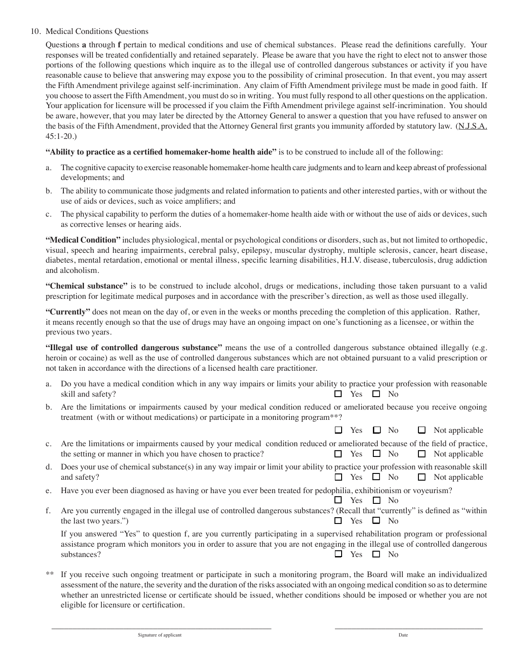### 10. Medical Conditions Questions

Questions **a** through **f** pertain to medical conditions and use of chemical substances. Please read the definitions carefully. Your responses will be treated confidentially and retained separately. Please be aware that you have the right to elect not to answer those portions of the following questions which inquire as to the illegal use of controlled dangerous substances or activity if you have reasonable cause to believe that answering may expose you to the possibility of criminal prosecution. In that event, you may assert the Fifth Amendment privilege against self-incrimination. Any claim of Fifth Amendment privilege must be made in good faith. If you choose to assert the Fifth Amendment, you must do so in writing. You must fully respond to all other questions on the application. Your application for licensure will be processed if you claim the Fifth Amendment privilege against self-incrimination. You should be aware, however, that you may later be directed by the Attorney General to answer a question that you have refused to answer on the basis of the Fifth Amendment, provided that the Attorney General first grants you immunity afforded by statutory law. (N.J.S.A. 45:1-20.)

## **"Ability to practice as a certified homemaker-home health aide"** is to be construed to include all of the following:

- a. The cognitive capacity to exercise reasonable homemaker-home health care judgments and to learn and keep abreast of professional developments; and
- b. The ability to communicate those judgments and related information to patients and other interested parties, with or without the use of aids or devices, such as voice amplifiers; and
- c. The physical capability to perform the duties of a homemaker-home health aide with or without the use of aids or devices, such as corrective lenses or hearing aids.

**"Medical Condition"** includes physiological, mental or psychological conditions or disorders, such as, but not limited to orthopedic, visual, speech and hearing impairments, cerebral palsy, epilepsy, muscular dystrophy, multiple sclerosis, cancer, heart disease, diabetes, mental retardation, emotional or mental illness, specific learning disabilities, H.I.V. disease, tuberculosis, drug addiction and alcoholism.

**"Chemical substance"** is to be construed to include alcohol, drugs or medications, including those taken pursuant to a valid prescription for legitimate medical purposes and in accordance with the prescriber's direction, as well as those used illegally.

**"Currently"** does not mean on the day of, or even in the weeks or months preceding the completion of this application. Rather, it means recently enough so that the use of drugs may have an ongoing impact on one's functioning as a licensee, or within the previous two years.

**"Illegal use of controlled dangerous substance"** means the use of a controlled dangerous substance obtained illegally (e.g. heroin or cocaine) as well as the use of controlled dangerous substances which are not obtained pursuant to a valid prescription or not taken in accordance with the directions of a licensed health care practitioner.

- a. Do you have a medical condition which in any way impairs or limits your ability to practice your profession with reasonable skill and safety?  $\Box$  Yes  $\Box$  No
- b. Are the limitations or impairments caused by your medical condition reduced or ameliorated because you receive ongoing treatment (with or without medications) or participate in a monitoring program\*\*?

 $\Box$  Yes  $\Box$  No  $\Box$  Not applicable

- c. Are the limitations or impairments caused by your medical condition reduced or ameliorated because of the field of practice, the setting or manner in which you have chosen to practice?  $\Box$  Yes  $\Box$  No  $\Box$  Not applicable
- d. Does your use of chemical substance(s) in any way impair or limit your ability to practice your profession with reasonable skill and safety?  $\Box$  Yes  $\Box$  No  $\Box$  Not applicable
- e. Have you ever been diagnosed as having or have you ever been treated for pedophilia, exhibitionism or voyeurism?  $\Box$  Yes  $\Box$  No
- f. Are you currently engaged in the illegal use of controlled dangerous substances? (Recall that "currently" is defined as "within the last two years.")  $\Box$  Yes  $\Box$  No

If you answered "Yes" to question f, are you currently participating in a supervised rehabilitation program or professional assistance program which monitors you in order to assure that you are not engaging in the illegal use of controlled dangerous substances?  $\Box$  Yes  $\Box$  No

If you receive such ongoing treatment or participate in such a monitoring program, the Board will make an individualized assessment of the nature, the severity and the duration of the risks associated with an ongoing medical condition so as to determine whether an unrestricted license or certificate should be issued, whether conditions should be imposed or whether you are not eligible for licensure or certification.

\_\_\_\_\_\_\_\_\_\_\_\_\_\_\_\_\_\_\_\_\_\_\_\_\_\_\_\_\_\_\_\_\_\_\_\_\_\_\_\_\_\_\_\_\_\_\_\_\_\_\_\_ \_\_\_\_\_\_\_\_\_\_\_\_\_\_\_\_\_\_\_\_\_\_\_\_\_\_\_\_\_\_\_\_\_\_\_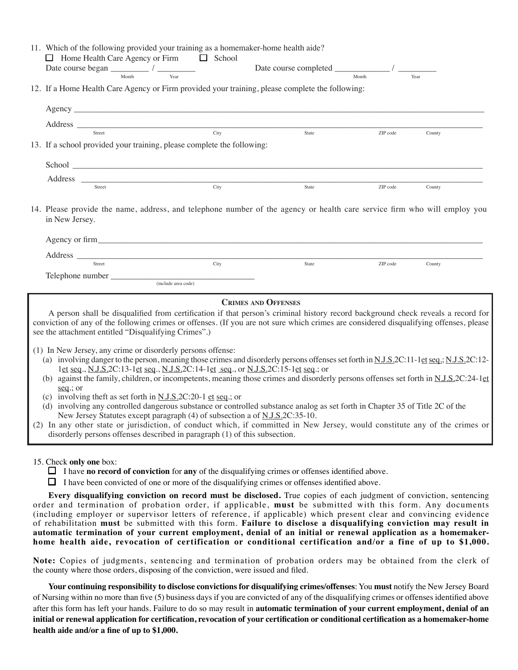| 11. Which of the following provided your training as a homemaker-home health aide?<br>$\Box$ Home Health Care Agency or Firm $\Box$ School                                                                                                                                                                                                                                                                                                                                                                                                                                                                                                                                                                                                                                                                                                                                                                                                         |                     |                            |          |        |
|----------------------------------------------------------------------------------------------------------------------------------------------------------------------------------------------------------------------------------------------------------------------------------------------------------------------------------------------------------------------------------------------------------------------------------------------------------------------------------------------------------------------------------------------------------------------------------------------------------------------------------------------------------------------------------------------------------------------------------------------------------------------------------------------------------------------------------------------------------------------------------------------------------------------------------------------------|---------------------|----------------------------|----------|--------|
| Date course began $\frac{1}{\frac{1}{\text{Month}}}$ / $\frac{1}{\text{Year}}$ Date course completed $\frac{1}{\frac{1}{\text{Month}}}$ / $\frac{1}{\frac{1}{\text{Month}}}$                                                                                                                                                                                                                                                                                                                                                                                                                                                                                                                                                                                                                                                                                                                                                                       |                     |                            |          |        |
| 12. If a Home Health Care Agency or Firm provided your training, please complete the following:                                                                                                                                                                                                                                                                                                                                                                                                                                                                                                                                                                                                                                                                                                                                                                                                                                                    |                     |                            |          |        |
|                                                                                                                                                                                                                                                                                                                                                                                                                                                                                                                                                                                                                                                                                                                                                                                                                                                                                                                                                    |                     |                            |          |        |
| Address $\frac{1}{\sqrt{1-\frac{1}{2}}\sqrt{1-\frac{1}{2}}\sqrt{1-\frac{1}{2}}\sqrt{1-\frac{1}{2}}}}$                                                                                                                                                                                                                                                                                                                                                                                                                                                                                                                                                                                                                                                                                                                                                                                                                                              |                     |                            |          |        |
| 13. If a school provided your training, please complete the following:                                                                                                                                                                                                                                                                                                                                                                                                                                                                                                                                                                                                                                                                                                                                                                                                                                                                             |                     | State                      | ZIP code | County |
|                                                                                                                                                                                                                                                                                                                                                                                                                                                                                                                                                                                                                                                                                                                                                                                                                                                                                                                                                    |                     |                            |          |        |
|                                                                                                                                                                                                                                                                                                                                                                                                                                                                                                                                                                                                                                                                                                                                                                                                                                                                                                                                                    |                     |                            |          |        |
| Street                                                                                                                                                                                                                                                                                                                                                                                                                                                                                                                                                                                                                                                                                                                                                                                                                                                                                                                                             | City                | State                      | ZIP code | County |
| 14. Please provide the name, address, and telephone number of the agency or health care service firm who will employ you<br>in New Jersey.                                                                                                                                                                                                                                                                                                                                                                                                                                                                                                                                                                                                                                                                                                                                                                                                         |                     |                            |          |        |
|                                                                                                                                                                                                                                                                                                                                                                                                                                                                                                                                                                                                                                                                                                                                                                                                                                                                                                                                                    |                     |                            |          |        |
| Address Street City                                                                                                                                                                                                                                                                                                                                                                                                                                                                                                                                                                                                                                                                                                                                                                                                                                                                                                                                | City                | State                      | ZIP code | County |
| Telephone number                                                                                                                                                                                                                                                                                                                                                                                                                                                                                                                                                                                                                                                                                                                                                                                                                                                                                                                                   |                     |                            |          |        |
|                                                                                                                                                                                                                                                                                                                                                                                                                                                                                                                                                                                                                                                                                                                                                                                                                                                                                                                                                    | (include area code) |                            |          |        |
| A person shall be disqualified from certification if that person's criminal history record background check reveals a record for<br>conviction of any of the following crimes or offenses. (If you are not sure which crimes are considered disqualifying offenses, please<br>see the attachment entitled "Disqualifying Crimes".)                                                                                                                                                                                                                                                                                                                                                                                                                                                                                                                                                                                                                 |                     | <b>CRIMES AND OFFENSES</b> |          |        |
| (1) In New Jersey, any crime or disorderly persons offense:<br>(a) involving danger to the person, meaning those crimes and disorderly persons offenses set forth in N.J.S.2C:11-1et seq.; N.J.S.2C:12-<br>1et seq., N.J.S.2C:13-1et seq., N.J.S.2C:14-1et seq., or N.J.S.2C:15-1et seq.; or<br>(b) against the family, children, or incompetents, meaning those crimes and disorderly persons offenses set forth in N.J.S.2C:24-1et<br>$seq$ ; or<br>(c) involving theft as set forth in $N.J.S.2C:20-1$ et seq.; or<br>(d) involving any controlled dangerous substance or controlled substance analog as set forth in Chapter 35 of Title 2C of the<br>New Jersey Statutes except paragraph (4) of subsection a of N.J.S.2C:35-10.<br>(2) In any other state or jurisdiction, of conduct which, if committed in New Jersey, would constitute any of the crimes or<br>disorderly persons offenses described in paragraph (1) of this subsection. |                     |                            |          |        |
| 15. Check only one box:                                                                                                                                                                                                                                                                                                                                                                                                                                                                                                                                                                                                                                                                                                                                                                                                                                                                                                                            |                     |                            |          |        |

15. Check **only one** box:

 $\Box$  I have **no record of conviction** for **any** of the disqualifying crimes or offenses identified above.

 $\Box$  I have been convicted of one or more of the disqualifying crimes or offenses identified above.

**Every disqualifying conviction on record must be disclosed.** True copies of each judgment of conviction, sentencing order and termination of probation order, if applicable, **must** be submitted with this form. Any documents (including employer or supervisor letters of reference, if applicable) which present clear and convincing evidence of rehabilitation **must** be submitted with this form. **Failure to disclose a disqualifying conviction may result in automatic termination of your current employment, denial of an initial or renewal application as a homemakerhome health aide, revocation of certification or conditional certification and/or a fine of up to \$1,000.**

**Note:** Copies of judgments, sentencing and termination of probation orders may be obtained from the clerk of the county where those orders, disposing of the conviction, were issued and filed.

**Your continuing responsibility to disclose convictions for disqualifying crimes/offenses**: You **must** notify the New Jersey Board of Nursing within no more than five (5) business days if you are convicted of any of the disqualifying crimes or offenses identified above after this form has left your hands. Failure to do so may result in **automatic termination of your current employment, denial of an initial or renewal application for certification, revocation of your certification or conditional certification as a homemaker-home health aide and/or a fine of up to \$1,000.**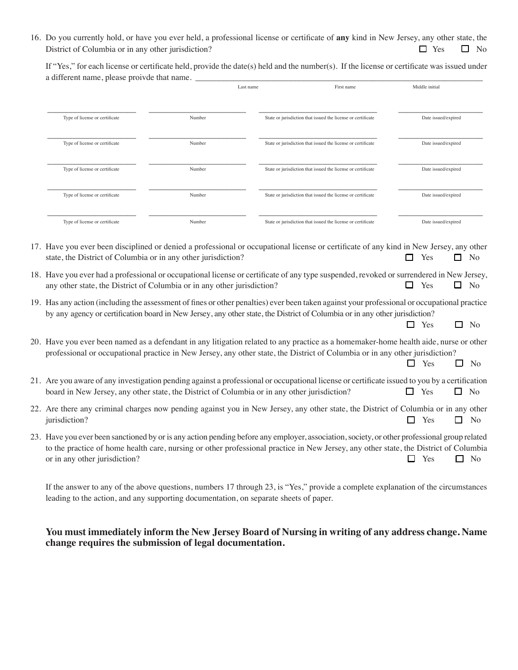16. Do you currently hold, or have you ever held, a professional license or certificate of **any** kind in New Jersey, any other state, the District of Columbia or in any other jurisdiction?  $\Box$  Yes  $\Box$  No

If "Yes," for each license or certificate held, provide the date(s) held and the number(s). If the license or certificate was issued under a different name, please proivde that name.

|                                                                         | Last name | First name                                                                                                                                                                                                                                                                  | Middle initial             |
|-------------------------------------------------------------------------|-----------|-----------------------------------------------------------------------------------------------------------------------------------------------------------------------------------------------------------------------------------------------------------------------------|----------------------------|
| Type of license or certificate                                          | Number    | State or jurisdiction that issued the license or certificate                                                                                                                                                                                                                | Date issued/expired        |
| Type of license or certificate                                          | Number    | State or jurisdiction that issued the license or certificate                                                                                                                                                                                                                | Date issued/expired        |
| Type of license or certificate                                          | Number    | State or jurisdiction that issued the license or certificate                                                                                                                                                                                                                | Date issued/expired        |
| Type of license or certificate                                          | Number    | State or jurisdiction that issued the license or certificate                                                                                                                                                                                                                | Date issued/expired        |
| Type of license or certificate                                          | Number    | State or jurisdiction that issued the license or certificate                                                                                                                                                                                                                | Date issued/expired        |
| state, the District of Columbia or in any other jurisdiction?           |           | 17. Have you ever been disciplined or denied a professional or occupational license or certificate of any kind in New Jersey, any other                                                                                                                                     | Yes<br>N <sub>o</sub>      |
| any other state, the District of Columbia or in any other jurisdiction? |           | 18. Have you ever had a professional or occupational license or certificate of any type suspended, revoked or surrendered in New Jersey,                                                                                                                                    | Yes<br>П<br>N <sub>o</sub> |
|                                                                         |           | 19. Has any action (including the assessment of fines or other penalties) ever been taken against your professional or occupational practice<br>by any agency or certification board in New Jersey, any other state, the District of Columbia or in any other jurisdiction? |                            |

| 20. Have you ever been named as a defendant in any litigation related to any practice as a homemaker-home health aide, nurse or other |
|---------------------------------------------------------------------------------------------------------------------------------------|
| professional or occupational practice in New Jersey, any other state, the District of Columbia or in any other jurisdiction?          |

 $\Box$  Yes  $\Box$  No

|                                                                                                                                                                                                                                               | $\Box$ Yes | $\Box$ No |
|-----------------------------------------------------------------------------------------------------------------------------------------------------------------------------------------------------------------------------------------------|------------|-----------|
| 21. Are you aware of any investigation pending against a professional or occupational license or certificate issued to you by a certification<br>board in New Jersey, any other state, the District of Columbia or in any other jurisdiction? | $\Box$ Yes | $\Box$ No |

- 22. Are there any criminal charges now pending against you in New Jersey, any other state, the District of Columbia or in any other jurisdiction?  $\Box$  Yes  $\Box$  No
- 23. Have you ever been sanctioned by or is any action pending before any employer, association, society, or other professional group related to the practice of home health care, nursing or other professional practice in New Jersey, any other state, the District of Columbia or in any other jurisdiction?  $\Box$  Yes  $\Box$  No

If the answer to any of the above questions, numbers 17 through 23, is "Yes," provide a complete explanation of the circumstances leading to the action, and any supporting documentation, on separate sheets of paper.

## **You must immediately inform the New Jersey Board of Nursing in writing of any address change. Name change requires the submission of legal documentation.**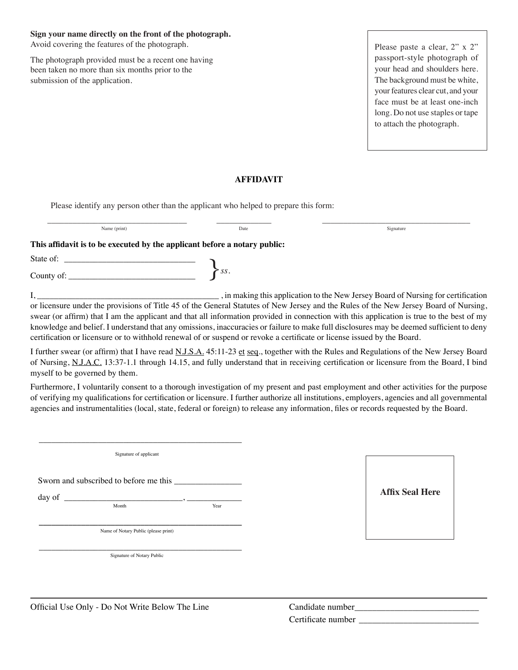#### **Sign your name directly on the front of the photograph.**

Avoid covering the features of the photograph.

The photograph provided must be a recent one having been taken no more than six months prior to the submission of the application.

Please paste a clear, 2" x 2" passport-style photograph of your head and shoulders here. The background must be white, your features clear cut, and your face must be at least one-inch long. Do not use staples or tape to attach the photograph.

## **AFFIDAVIT**

Please identify any person other than the applicant who helped to prepare this form:

| Name (print)                                                              | Date        | Signature                                                                                                                             |
|---------------------------------------------------------------------------|-------------|---------------------------------------------------------------------------------------------------------------------------------------|
| This affidavit is to be executed by the applicant before a notary public: |             |                                                                                                                                       |
|                                                                           |             |                                                                                                                                       |
|                                                                           | $\sum_{ss}$ |                                                                                                                                       |
|                                                                           |             | . in making this application to the New Jersey Board of Nursing for certification                                                     |
|                                                                           |             | or licensure under the provisions of Title 45 of the General Statutes of New Jersey and the Rules of the New Jersey Board of Nursing. |

or licensure under the provisions of Title 45 of the General Statutes of New Jersey and the Rules of the New Jersey Board of Nursing, swear (or affirm) that I am the applicant and that all information provided in connection with this application is true to the best of my knowledge and belief. I understand that any omissions, inaccuracies or failure to make full disclosures may be deemed sufficient to deny certification or licensure or to withhold renewal of or suspend or revoke a certificate or license issued by the Board.

I further swear (or affirm) that I have read N.J.S.A. 45:11-23 et seq., together with the Rules and Regulations of the New Jersey Board of Nursing, N.J.A.C. 13:37-1.1 through 14.15, and fully understand that in receiving certification or licensure from the Board, I bind myself to be governed by them.

Furthermore, I voluntarily consent to a thorough investigation of my present and past employment and other activities for the purpose of verifying my qualifications for certification or licensure. I further authorize all institutions, employers, agencies and all governmental agencies and instrumentalities (local, state, federal or foreign) to release any information, files or records requested by the Board.

\_\_\_\_\_\_\_\_\_\_\_\_\_\_\_\_\_\_\_\_\_\_\_\_\_\_\_\_\_\_\_\_\_\_\_\_\_\_\_\_\_\_\_\_\_\_\_\_ Signature of applicant Sworn and subscribed to before me this day of  $\frac{1}{\text{Month}}$ ,  $\frac{1}{\text{Year}}$ Month **Year \_\_\_\_\_\_\_\_\_\_\_\_\_\_\_\_\_\_\_\_\_\_\_\_\_\_\_\_\_\_\_\_\_\_\_\_\_\_\_\_\_\_\_\_\_\_\_\_** Name of Notary Public (please print)

\_\_\_\_\_\_\_\_\_\_\_\_\_\_\_\_\_\_\_\_\_\_\_\_\_\_\_\_\_\_\_\_\_\_\_\_\_\_\_\_\_\_\_\_\_\_\_\_ Signature of Notary Public



Official Use Only - Do Not Write Below The Line

| Candidate number   |  |
|--------------------|--|
| Certificate number |  |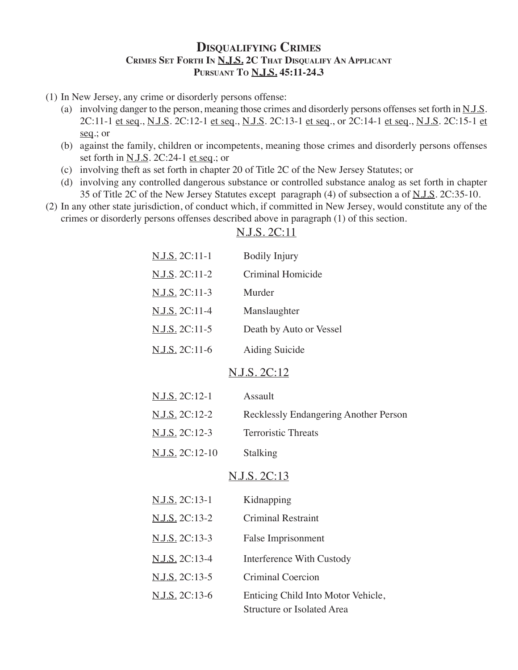## **Disqualifying Crimes Crimes Set Forth In N.J.S. 2C That Disqualify An Applicant Pursuant To N.J.S. 45:11-24.3**

- (1) In New Jersey, any crime or disorderly persons offense:
	- (a) involving danger to the person, meaning those crimes and disorderly persons offenses set forth in N.J.S. 2C:11-1 et seq., N.J.S. 2C:12-1 et seq., N.J.S. 2C:13-1 et seq., or 2C:14-1 et seq., N.J.S. 2C:15-1 et seq.; or
	- (b) against the family, children or incompetents, meaning those crimes and disorderly persons offenses set forth in <u>N.J.S</u>. 2C:24-1 et seq.; or
	- (c) involving theft as set forth in chapter 20 of Title 2C of the New Jersey Statutes; or
	- (d) involving any controlled dangerous substance or controlled substance analog as set forth in chapter 35 of Title 2C of the New Jersey Statutes except paragraph (4) of subsection a of N.J.S. 2C:35-10.
- (2) In any other state jurisdiction, of conduct which, if committed in New Jersey, would constitute any of the crimes or disorderly persons offenses described above in paragraph (1) of this section.

| N.J.S. 2C:11-1  | <b>Bodily Injury</b>                                             |
|-----------------|------------------------------------------------------------------|
| N.J.S. 2C:11-2  | Criminal Homicide                                                |
| N.J.S. 2C:11-3  | Murder                                                           |
| N.J.S. 2C:11-4  | Manslaughter                                                     |
| N.J.S. 2C:11-5  | Death by Auto or Vessel                                          |
| N.J.S. 2C:11-6  | Aiding Suicide                                                   |
|                 | <u>N.J.S. 2C:12</u>                                              |
| N.J.S. 2C:12-1  | Assault                                                          |
| N.J.S. 2C:12-2  | Recklessly Endangering Another Person                            |
| N.J.S. 2C:12-3  | <b>Terroristic Threats</b>                                       |
| N.J.S. 2C:12-10 | Stalking                                                         |
|                 | <u>N.J.S. 2C:13</u>                                              |
| N.J.S. 2C:13-1  | Kidnapping                                                       |
| N.J.S. 2C:13-2  | <b>Criminal Restraint</b>                                        |
| N.J.S. 2C:13-3  | False Imprisonment                                               |
| N.J.S. 2C:13-4  | <b>Interference With Custody</b>                                 |
| N.J.S. 2C:13-5  | <b>Criminal Coercion</b>                                         |
| N.J.S. 2C:13-6  | Enticing Child Into Motor Vehicle,<br>Structure or Isolated Area |
|                 |                                                                  |

## N.J.S. 2C:11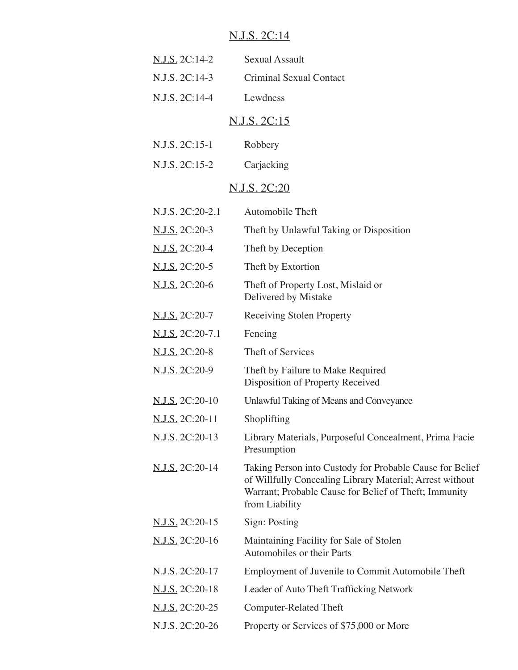# N.J.S. 2C:14

| <u>N.J.S.</u> 2C:14-2 | Sexual Assault          |
|-----------------------|-------------------------|
| N.J.S. 2C:14-3        | Criminal Sexual Contact |
| N.J.S. 2C:14-4        | Lewdness                |
|                       |                         |

# N.J.S. 2C:15

| N.J.S. 2C:15-1<br>Robbery |
|---------------------------|
|                           |

| N.J.S. 2C:15-2 | Carjacking |
|----------------|------------|
|----------------|------------|

# N.J.S. 2C:20

| N.J.S. 2C:20-2.1       | Automobile Theft                                                                                                                                                                                |
|------------------------|-------------------------------------------------------------------------------------------------------------------------------------------------------------------------------------------------|
| N.J.S. 2C:20-3         | Theft by Unlawful Taking or Disposition                                                                                                                                                         |
| N.J.S. 2C:20-4         | Theft by Deception                                                                                                                                                                              |
| N.J.S. 2C:20-5         | Theft by Extortion                                                                                                                                                                              |
| N.J.S. 2C:20-6         | Theft of Property Lost, Mislaid or<br>Delivered by Mistake                                                                                                                                      |
| <u>N.J.S.</u> 2C:20-7  | <b>Receiving Stolen Property</b>                                                                                                                                                                |
| N.J.S. 2C:20-7.1       | Fencing                                                                                                                                                                                         |
| N.J.S. 2C:20-8         | Theft of Services                                                                                                                                                                               |
| N.J.S. 2C:20-9         | Theft by Failure to Make Required<br>Disposition of Property Received                                                                                                                           |
| <u>N.J.S.</u> 2C:20-10 | Unlawful Taking of Means and Conveyance                                                                                                                                                         |
| N.J.S. 2C:20-11        | Shoplifting                                                                                                                                                                                     |
| N.J.S. 2C:20-13        | Library Materials, Purposeful Concealment, Prima Facie<br>Presumption                                                                                                                           |
| N.J.S. 2C:20-14        | Taking Person into Custody for Probable Cause for Belief<br>of Willfully Concealing Library Material; Arrest without<br>Warrant; Probable Cause for Belief of Theft; Immunity<br>from Liability |
| <u>N.J.S.</u> 2C:20-15 | Sign: Posting                                                                                                                                                                                   |
| N.J.S. 2C:20-16        | Maintaining Facility for Sale of Stolen<br>Automobiles or their Parts                                                                                                                           |
| <u>N.J.S.</u> 2C:20-17 | Employment of Juvenile to Commit Automobile Theft                                                                                                                                               |
| <u>N.J.S.</u> 2C:20-18 | Leader of Auto Theft Trafficking Network                                                                                                                                                        |
| N.J.S. 2C:20-25        | <b>Computer-Related Theft</b>                                                                                                                                                                   |
| N.J.S. 2C:20-26        | Property or Services of \$75,000 or More                                                                                                                                                        |
|                        |                                                                                                                                                                                                 |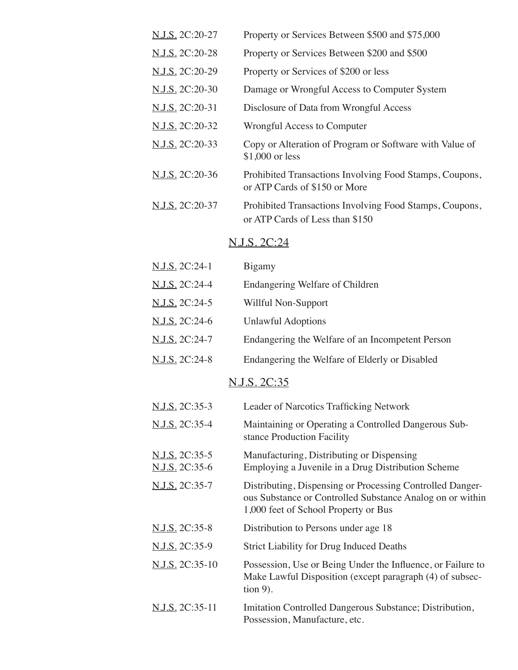| N.J.S. 2C:20-27 | Property or Services Between \$500 and \$75,000                                            |
|-----------------|--------------------------------------------------------------------------------------------|
| N.J.S. 2C:20-28 | Property or Services Between \$200 and \$500                                               |
| N.J.S. 2C:20-29 | Property or Services of \$200 or less                                                      |
| N.J.S. 2C:20-30 | Damage or Wrongful Access to Computer System                                               |
| N.J.S. 2C:20-31 | Disclosure of Data from Wrongful Access                                                    |
| N.J.S. 2C:20-32 | Wrongful Access to Computer                                                                |
| N.J.S. 2C:20-33 | Copy or Alteration of Program or Software with Value of<br>\$1,000 or less                 |
| N.J.S. 2C:20-36 | Prohibited Transactions Involving Food Stamps, Coupons,<br>or ATP Cards of \$150 or More   |
| N.J.S. 2C:20-37 | Prohibited Transactions Involving Food Stamps, Coupons,<br>or ATP Cards of Less than \$150 |
|                 | N.J.S. 2C:24                                                                               |

| N.J.S. 2C:24-1                          | Bigamy                                                                                                                                                         |
|-----------------------------------------|----------------------------------------------------------------------------------------------------------------------------------------------------------------|
| <u>N.J.S.</u> 2C:24-4                   | Endangering Welfare of Children                                                                                                                                |
| N.J.S. 2C:24-5                          | Willful Non-Support                                                                                                                                            |
| N.J.S. 2C:24-6                          | <b>Unlawful Adoptions</b>                                                                                                                                      |
| N.J.S. 2C:24-7                          | Endangering the Welfare of an Incompetent Person                                                                                                               |
| N.J.S. 2C:24-8                          | Endangering the Welfare of Elderly or Disabled                                                                                                                 |
|                                         | N.J.S. 2C:35                                                                                                                                                   |
| <u>N.J.S.</u> 2C:35-3                   | Leader of Narcotics Trafficking Network                                                                                                                        |
| N.J.S. 2C:35-4                          | Maintaining or Operating a Controlled Dangerous Sub-<br>stance Production Facility                                                                             |
| N.J.S. 2C:35-5<br><u>N.J.S.</u> 2C:35-6 | Manufacturing, Distributing or Dispensing<br>Employing a Juvenile in a Drug Distribution Scheme                                                                |
| N.J.S. 2C:35-7                          | Distributing, Dispensing or Processing Controlled Danger-<br>ous Substance or Controlled Substance Analog on or within<br>1,000 feet of School Property or Bus |
| N.J.S. 2C:35-8                          | Distribution to Persons under age 18                                                                                                                           |
| <u>N.J.S.</u> 2C:35-9                   | <b>Strict Liability for Drug Induced Deaths</b>                                                                                                                |
| <u>N.J.S.</u> 2C:35-10                  | Possession, Use or Being Under the Influence, or Failure to<br>Make Lawful Disposition (except paragraph (4) of subsec-<br>$\frac{1}{2}$ (ion 9).              |
| N.J.S. 2C:35-11                         | Imitation Controlled Dangerous Substance; Distribution,<br>Possession, Manufacture, etc.                                                                       |